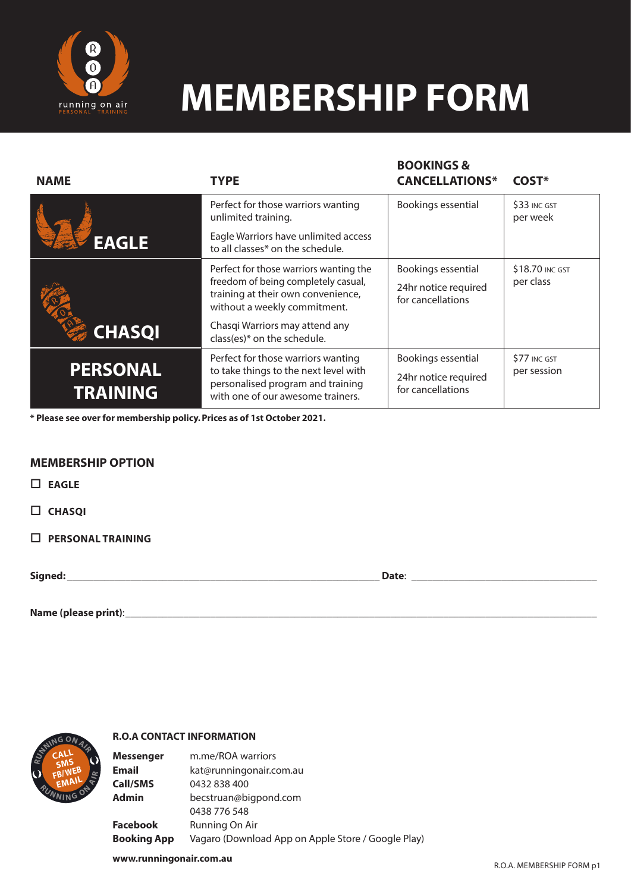

## **MEMBERSHIP FORM**

**BOOKINGS &** 

| <b>NAME</b>                        | <b>TYPE</b>                                                                                                                                           | <b>BUUKINGS &amp;</b><br><b>CANCELLATIONS*</b>                  | COST*                        |
|------------------------------------|-------------------------------------------------------------------------------------------------------------------------------------------------------|-----------------------------------------------------------------|------------------------------|
|                                    | Perfect for those warriors wanting<br>unlimited training.                                                                                             | Bookings essential                                              | \$33 INC GST<br>per week     |
| <b>EAGLE</b>                       | Eagle Warriors have unlimited access<br>to all classes* on the schedule.                                                                              |                                                                 |                              |
|                                    | Perfect for those warriors wanting the<br>freedom of being completely casual,<br>training at their own convenience,<br>without a weekly commitment.   | Bookings essential<br>24hr notice required<br>for cancellations | \$18.70 INC GST<br>per class |
| <b>CHASQI</b>                      | Chasqi Warriors may attend any<br>class(es)* on the schedule.                                                                                         |                                                                 |                              |
| <b>PERSONAL</b><br><b>TRAINING</b> | Perfect for those warriors wanting<br>to take things to the next level with<br>personalised program and training<br>with one of our awesome trainers. | Bookings essential<br>24hr notice required<br>for cancellations | \$77 INC GST<br>per session  |

**\* Please see over for membership policy. Prices as of 1st October 2021.** 

### **MEMBERSHIP OPTION**

 **EAGLE**

 **CHASQI**

 **PERSONAL TRAINING**

**Signed:** \_\_\_\_\_\_\_\_\_\_\_\_\_\_\_\_\_\_\_\_\_\_\_\_\_\_\_\_\_\_\_\_\_\_\_\_\_\_\_\_\_\_\_\_\_\_\_\_\_\_\_\_\_\_\_\_\_\_\_ **Date**: \_\_\_\_\_\_\_\_\_\_\_\_\_\_\_\_\_\_\_\_\_\_\_\_\_\_\_\_\_\_\_\_\_\_\_

**Name (please print)**:\_\_\_\_\_\_\_\_\_\_\_\_\_\_\_\_\_\_\_\_\_\_\_\_\_\_\_\_\_\_\_\_\_\_\_\_\_\_\_\_\_\_\_\_\_\_\_\_\_\_\_\_\_\_\_\_\_\_\_\_\_\_\_\_\_\_\_\_\_\_\_\_\_\_\_\_\_\_\_\_\_\_\_\_\_\_\_\_\_



#### **R.O.A CONTACT INFORMATION**

**Messenger** m.me/ROA warriors **Email** kat@runningonair.com.au **Call/SMS** 0432 838 400 **Admin** becstruan@bigpond.com 0438 776 548 **Facebook** Running On Air **Booking App** Vagaro (Download App on Apple Store / Google Play)

**www.runningonair.com.au**